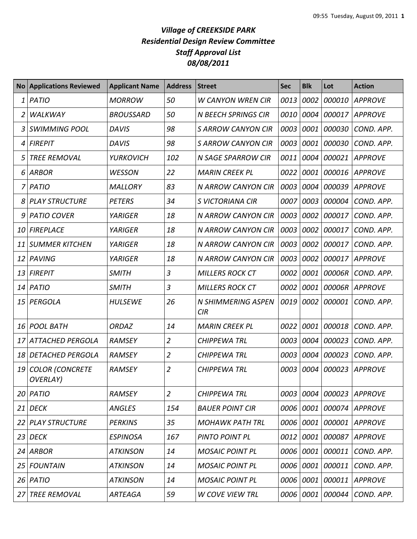## *Village of CREEKSIDE PARK Residential Design Review Committee Staff Approval List 08/08/2011*

| No <sub>1</sub> | <b>Applications Reviewed</b>       | <b>Applicant Name</b> | <b>Address</b> | <b>Street</b>              | <b>Sec</b> | <b>Blk</b> | Lot         | <b>Action</b>  |
|-----------------|------------------------------------|-----------------------|----------------|----------------------------|------------|------------|-------------|----------------|
| 1               | <b>PATIO</b>                       | <b>MORROW</b>         | 50             | <b>W CANYON WREN CIR</b>   | 0013       | 0002       | 000010      | <b>APPROVE</b> |
| 2               | <b>WALKWAY</b>                     | <b>BROUSSARD</b>      | 50             | <b>N BEECH SPRINGS CIR</b> | 0010       | 0004       | 000017      | <b>APPROVE</b> |
| 3               | <b>SWIMMING POOL</b>               | <b>DAVIS</b>          | 98             | S ARROW CANYON CIR         | 0003       | 0001       | 000030      | COND. APP.     |
| 4               | <b>FIREPIT</b>                     | <b>DAVIS</b>          | 98             | <b>S ARROW CANYON CIR</b>  | 0003       | 0001       | 000030      | COND. APP.     |
| 5               | <b>TREE REMOVAL</b>                | <b>YURKOVICH</b>      | 102            | <b>N SAGE SPARROW CIR</b>  | 0011       | 0004       | 000021      | <b>APPROVE</b> |
|                 | 6 ARBOR                            | <b>WESSON</b>         | 22             | <b>MARIN CREEK PL</b>      | 0022       | 0001       | 000016      | <b>APPROVE</b> |
| 7               | PATIO                              | <b>MALLORY</b>        | 83             | N ARROW CANYON CIR         | 0003       | 0004       | 000039      | <b>APPROVE</b> |
|                 | 8 PLAY STRUCTURE                   | <b>PETERS</b>         | 34             | S VICTORIANA CIR           | 0007       | 0003       | 000004      | COND. APP.     |
| 9               | <b>PATIO COVER</b>                 | <b>YARIGER</b>        | 18             | N ARROW CANYON CIR         | 0003       | 0002       | 000017      | COND. APP.     |
| 10              | FIREPLACE                          | <b>YARIGER</b>        | 18             | <b>N ARROW CANYON CIR</b>  | 0003       | 0002       | 000017      | COND. APP.     |
| 11              | <b>SUMMER KITCHEN</b>              | <b>YARIGER</b>        | 18             | <b>N ARROW CANYON CIR</b>  | 0003       | 0002       | 000017      | COND. APP.     |
| 12              | PAVING                             | <b>YARIGER</b>        | 18             | N ARROW CANYON CIR         | 0003       | 0002       | 000017      | <b>APPROVE</b> |
| 13              | <b>FIREPIT</b>                     | <b>SMITH</b>          | 3              | <b>MILLERS ROCK CT</b>     | 0002       | 0001       | 00006R      | COND. APP.     |
| 14              | PATIO                              | SMITH                 | 3              | <b>MILLERS ROCK CT</b>     | 0002       | 0001       | 00006R      | <b>APPROVE</b> |
| 15              | PERGOLA                            | <b>HULSEWE</b>        | 26             | N SHIMMERING ASPEN<br>CIR  | 0019       | 0002       | 000001      | COND. APP.     |
| 16              | <b>POOL BATH</b>                   | <b>ORDAZ</b>          | 14             | <b>MARIN CREEK PL</b>      | 0022       | 0001       | 000018      | COND. APP.     |
|                 | 17 ATTACHED PERGOLA                | RAMSEY                | $\overline{2}$ | <b>CHIPPEWA TRL</b>        | 0003       | 0004       | 000023      | COND. APP.     |
| 18              | <b>DETACHED PERGOLA</b>            | <b>RAMSEY</b>         | $\overline{2}$ | <b>CHIPPEWA TRL</b>        | 0003       | 0004       | 000023      | COND. APP.     |
| 19              | <b>COLOR (CONCRETE</b><br>OVERLAY) | <b>RAMSEY</b>         | $\overline{2}$ | <b>CHIPPEWA TRL</b>        | 0003       | 0004       | 000023      | <b>APPROVE</b> |
|                 | $20$   PATIO                       | <b>RAMSEY</b>         | $\overline{2}$ | <b>CHIPPEWA TRL</b>        | 0003       | 0004       | 000023      | <b>APPROVE</b> |
| 21              | <b>DECK</b>                        | <b>ANGLES</b>         | 154            | <b>BAUER POINT CIR</b>     | 0006       | 0001       | 000074      | <b>APPROVE</b> |
| 22              | <b>PLAY STRUCTURE</b>              | <b>PERKINS</b>        | 35             | <b>MOHAWK PATH TRL</b>     | 0006       | 0001       | 000001      | <b>APPROVE</b> |
| 23              | <b>DECK</b>                        | <b>ESPINOSA</b>       | 167            | PINTO POINT PL             | 0012       | 0001       | 000087      | <b>APPROVE</b> |
|                 | 24 ARBOR                           | ATKINSON              | 14             | <b>MOSAIC POINT PL</b>     | 0006       |            | 0001 000011 | COND. APP.     |
| 25              | <b>FOUNTAIN</b>                    | <b>ATKINSON</b>       | 14             | <b>MOSAIC POINT PL</b>     | 0006       | 0001       | 000011      | COND. APP.     |
|                 | 26 <i>PATIO</i>                    | ATKINSON              | 14             | <b>MOSAIC POINT PL</b>     | 0006       | 0001       | 000011      | <b>APPROVE</b> |
| 27              | <b>TREE REMOVAL</b>                | <b>ARTEAGA</b>        | 59             | <b>W COVE VIEW TRL</b>     | 0006       |            | 0001 000044 | COND. APP.     |